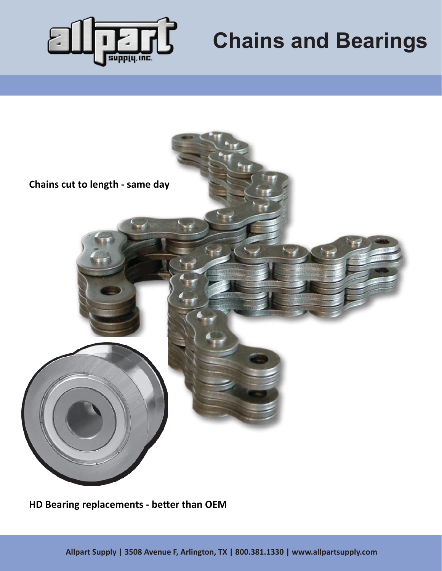

## **Chains and Bearings**



**HD Bearing replacements - better than OEM**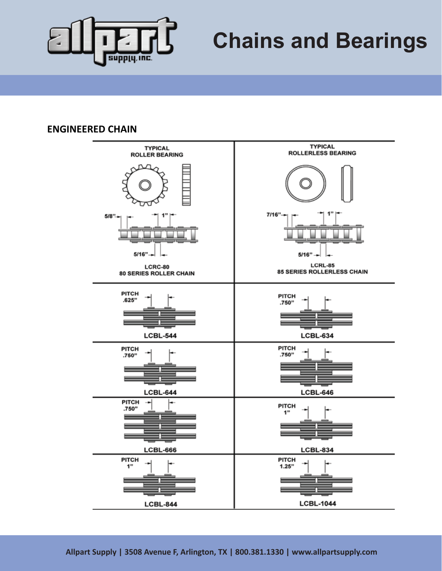

## **Chains and Bearings**

## **ENGINEERED CHAIN**